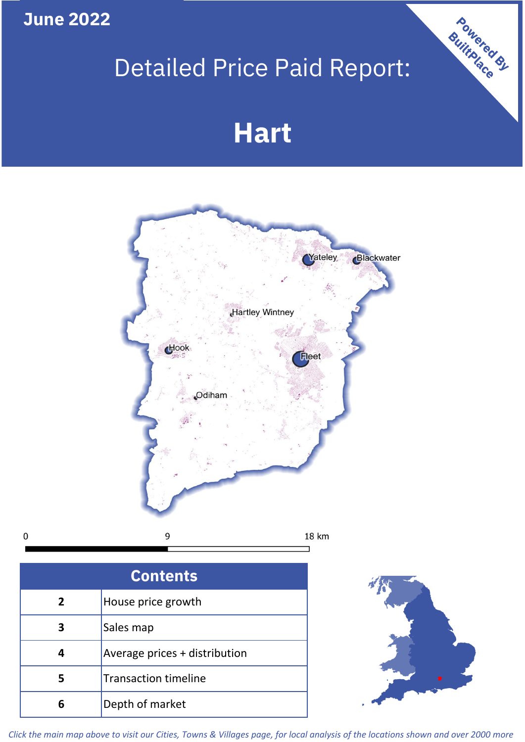**June 2022**

 $\pmb{0}$ 

## Detailed Price Paid Report:

# **Hart**



| <b>Contents</b> |                               |  |  |  |
|-----------------|-------------------------------|--|--|--|
| $\overline{2}$  | House price growth            |  |  |  |
| 3               | Sales map                     |  |  |  |
|                 | Average prices + distribution |  |  |  |
| 5               | <b>Transaction timeline</b>   |  |  |  |
| 6               | Depth of market               |  |  |  |



Powered By

*Click the main map above to visit our Cities, Towns & Villages page, for local analysis of the locations shown and over 2000 more*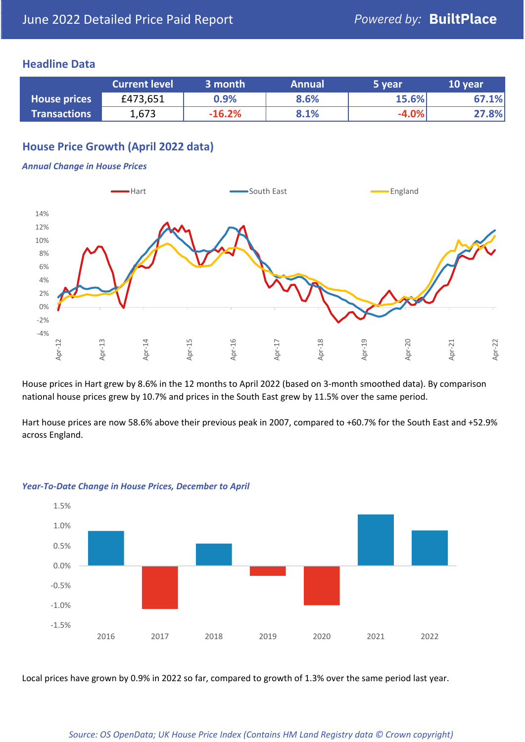## **Headline Data**

|                     | <b>Current level</b> | 3 month  | <b>Annual</b> | 5 year  | 10 year |
|---------------------|----------------------|----------|---------------|---------|---------|
| <b>House prices</b> | £473,651             | $0.9\%$  | 8.6%          | 15.6%   | 67.1%   |
| <b>Transactions</b> | 1,673                | $-16.2%$ | 8.1%          | $-4.0%$ | 27.8%   |

## **House Price Growth (April 2022 data)**

#### *Annual Change in House Prices*



House prices in Hart grew by 8.6% in the 12 months to April 2022 (based on 3-month smoothed data). By comparison national house prices grew by 10.7% and prices in the South East grew by 11.5% over the same period.

Hart house prices are now 58.6% above their previous peak in 2007, compared to +60.7% for the South East and +52.9% across England.



#### *Year-To-Date Change in House Prices, December to April*

Local prices have grown by 0.9% in 2022 so far, compared to growth of 1.3% over the same period last year.

#### *Source: OS OpenData; UK House Price Index (Contains HM Land Registry data © Crown copyright)*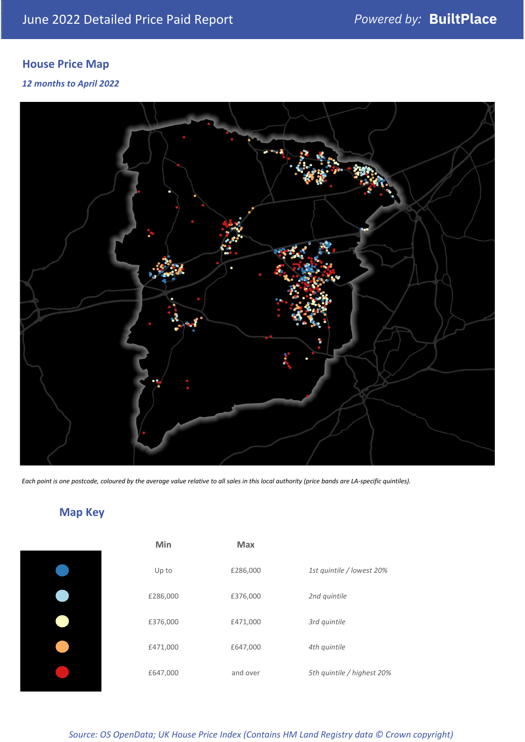## **House Price Map**

## *12 months to April 2022*



*Each point is one postcode, coloured by the average value relative to all sales in this local authority (price bands are LA-specific quintiles).*

## **Map Key**

|  | Min      | <b>Max</b> |              |
|--|----------|------------|--------------|
|  | Up to    | £286,000   | 1st quintile |
|  | £286,000 | £376,000   | 2nd quintile |
|  | £376,000 | £471,000   | 3rd quintile |
|  | £471,000 | £647,000   | 4th quintile |
|  | £647,000 | and over   | 5th quintile |
|  |          |            |              |

*Source: OS OpenData; UK House Price Index (Contains HM Land Registry data © Crown copyright)*

0% Up to £286,000 *1st quintile / lowest 20%*

5th quintile / highest 20%

2nd quintile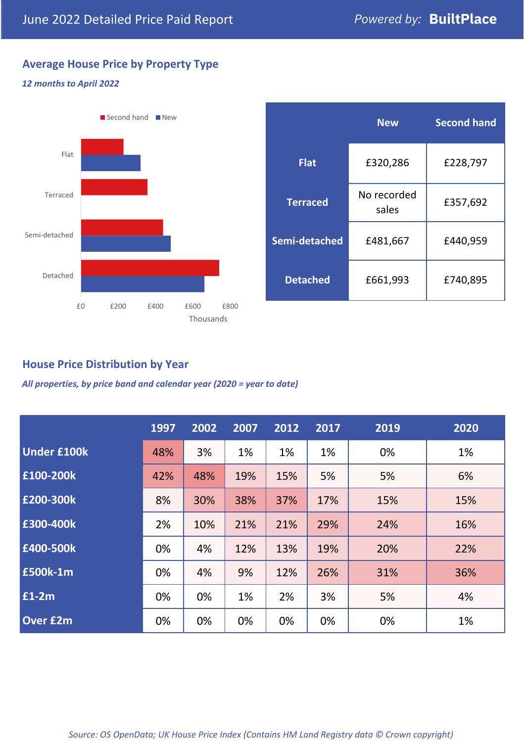## **Average House Price by Property Type**

## *12 months to April 2022*



|                 | <b>New</b>           | <b>Second hand</b> |  |  |
|-----------------|----------------------|--------------------|--|--|
| <b>Flat</b>     | £320,286             | £228,797           |  |  |
| <b>Terraced</b> | No recorded<br>sales | £357,692           |  |  |
| Semi-detached   | £481,667             | £440,959           |  |  |
| <b>Detached</b> | £661,993             | £740,895           |  |  |

## **House Price Distribution by Year**

*All properties, by price band and calendar year (2020 = year to date)*

|                    | 1997 | 2002 | 2007 | 2012 | 2017 | 2019 | 2020 |
|--------------------|------|------|------|------|------|------|------|
| <b>Under £100k</b> | 48%  | 3%   | 1%   | 1%   | 1%   | 0%   | 1%   |
| £100-200k          | 42%  | 48%  | 19%  | 15%  | 5%   | 5%   | 6%   |
| E200-300k          | 8%   | 30%  | 38%  | 37%  | 17%  | 15%  | 15%  |
| £300-400k          | 2%   | 10%  | 21%  | 21%  | 29%  | 24%  | 16%  |
| £400-500k          | 0%   | 4%   | 12%  | 13%  | 19%  | 20%  | 22%  |
| £500k-1m           | 0%   | 4%   | 9%   | 12%  | 26%  | 31%  | 36%  |
| £1-2m              | 0%   | 0%   | 1%   | 2%   | 3%   | 5%   | 4%   |
| <b>Over £2m</b>    | 0%   | 0%   | 0%   | 0%   | 0%   | 0%   | 1%   |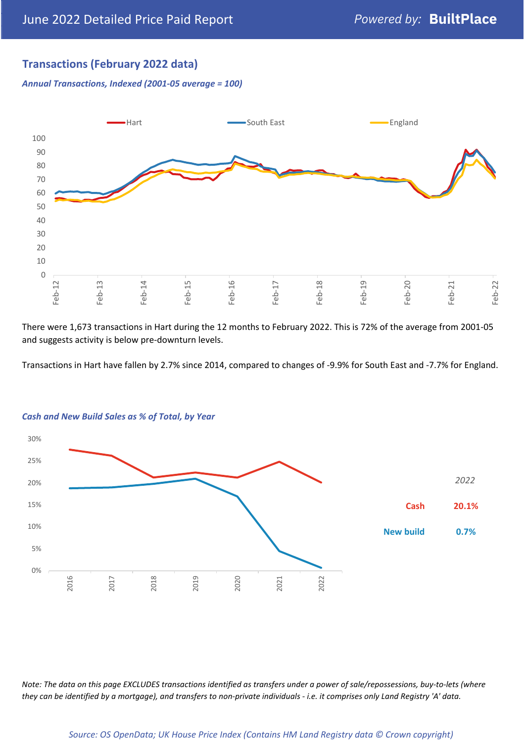## **Transactions (February 2022 data)**

*Annual Transactions, Indexed (2001-05 average = 100)*



There were 1,673 transactions in Hart during the 12 months to February 2022. This is 72% of the average from 2001-05 and suggests activity is below pre-downturn levels.

Transactions in Hart have fallen by 2.7% since 2014, compared to changes of -9.9% for South East and -7.7% for England.



#### *Cash and New Build Sales as % of Total, by Year*

*Note: The data on this page EXCLUDES transactions identified as transfers under a power of sale/repossessions, buy-to-lets (where they can be identified by a mortgage), and transfers to non-private individuals - i.e. it comprises only Land Registry 'A' data.*